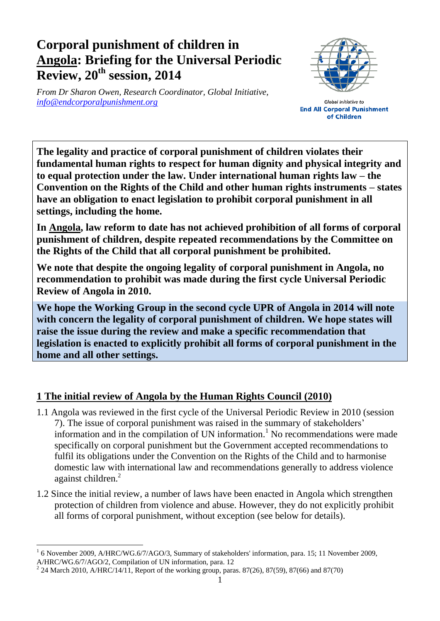## **Corporal punishment of children in Angola: Briefing for the Universal Periodic Review, 20th session, 2014**

*From Dr Sharon Owen, Research Coordinator, Global Initiative, [info@endcorporalpunishment.org](mailto:info@endcorporalpunishment.org)*



**Global Initiative to End All Corporal Punishment** of Children

**The legality and practice of corporal punishment of children violates their fundamental human rights to respect for human dignity and physical integrity and to equal protection under the law. Under international human rights law – the Convention on the Rights of the Child and other human rights instruments – states have an obligation to enact legislation to prohibit corporal punishment in all settings, including the home.**

**In Angola, law reform to date has not achieved prohibition of all forms of corporal punishment of children, despite repeated recommendations by the Committee on the Rights of the Child that all corporal punishment be prohibited.**

**We note that despite the ongoing legality of corporal punishment in Angola, no recommendation to prohibit was made during the first cycle Universal Periodic Review of Angola in 2010.**

**We hope the Working Group in the second cycle UPR of Angola in 2014 will note with concern the legality of corporal punishment of children. We hope states will raise the issue during the review and make a specific recommendation that legislation is enacted to explicitly prohibit all forms of corporal punishment in the home and all other settings.**

## **1 The initial review of Angola by the Human Rights Council (2010)**

- 1.1 Angola was reviewed in the first cycle of the Universal Periodic Review in 2010 (session 7). The issue of corporal punishment was raised in the summary of stakeholders' information and in the compilation of UN information. <sup>1</sup> No recommendations were made specifically on corporal punishment but the Government accepted recommendations to fulfil its obligations under the Convention on the Rights of the Child and to harmonise domestic law with international law and recommendations generally to address violence against children.<sup>2</sup>
- 1.2 Since the initial review, a number of laws have been enacted in Angola which strengthen protection of children from violence and abuse. However, they do not explicitly prohibit all forms of corporal punishment, without exception (see below for details).

 $\overline{a}$ 1 6 November 2009, A/HRC/WG.6/7/AGO/3, Summary of stakeholders' information, para. 15; 11 November 2009, A/HRC/WG.6/7/AGO/2, Compilation of UN information, para. 12

<sup>&</sup>lt;sup>2</sup> 24 March 2010, A/HRC/14/11, Report of the working group, paras. 87(26), 87(59), 87(66) and 87(70)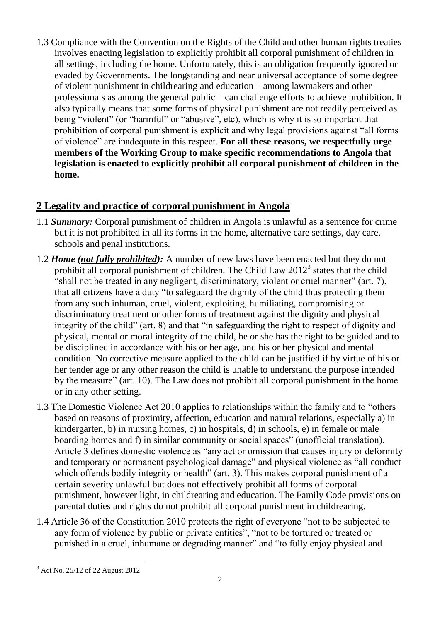1.3 Compliance with the Convention on the Rights of the Child and other human rights treaties involves enacting legislation to explicitly prohibit all corporal punishment of children in all settings, including the home. Unfortunately, this is an obligation frequently ignored or evaded by Governments. The longstanding and near universal acceptance of some degree of violent punishment in childrearing and education – among lawmakers and other professionals as among the general public – can challenge efforts to achieve prohibition. It also typically means that some forms of physical punishment are not readily perceived as being "violent" (or "harmful" or "abusive", etc), which is why it is so important that prohibition of corporal punishment is explicit and why legal provisions against "all forms of violence" are inadequate in this respect. **For all these reasons, we respectfully urge members of the Working Group to make specific recommendations to Angola that legislation is enacted to explicitly prohibit all corporal punishment of children in the home.**

## **2 Legality and practice of corporal punishment in Angola**

- 1.1 *Summary:* Corporal punishment of children in Angola is unlawful as a sentence for crime but it is not prohibited in all its forms in the home, alternative care settings, day care, schools and penal institutions.
- 1.2 *Home (not fully prohibited):* A number of new laws have been enacted but they do not prohibit all corporal punishment of children. The Child Law  $2012<sup>3</sup>$  states that the child "shall not be treated in any negligent, discriminatory, violent or cruel manner" (art. 7), that all citizens have a duty "to safeguard the dignity of the child thus protecting them from any such inhuman, cruel, violent, exploiting, humiliating, compromising or discriminatory treatment or other forms of treatment against the dignity and physical integrity of the child" (art. 8) and that "in safeguarding the right to respect of dignity and physical, mental or moral integrity of the child, he or she has the right to be guided and to be disciplined in accordance with his or her age, and his or her physical and mental condition. No corrective measure applied to the child can be justified if by virtue of his or her tender age or any other reason the child is unable to understand the purpose intended by the measure" (art. 10). The Law does not prohibit all corporal punishment in the home or in any other setting.
- 1.3 The Domestic Violence Act 2010 applies to relationships within the family and to "others based on reasons of proximity, affection, education and natural relations, especially a) in kindergarten, b) in nursing homes, c) in hospitals, d) in schools, e) in female or male boarding homes and f) in similar community or social spaces" (unofficial translation). Article 3 defines domestic violence as "any act or omission that causes injury or deformity and temporary or permanent psychological damage" and physical violence as "all conduct which offends bodily integrity or health" (art. 3). This makes corporal punishment of a certain severity unlawful but does not effectively prohibit all forms of corporal punishment, however light, in childrearing and education. The Family Code provisions on parental duties and rights do not prohibit all corporal punishment in childrearing.
- 1.4 Article 36 of the Constitution 2010 protects the right of everyone "not to be subjected to any form of violence by public or private entities", "not to be tortured or treated or punished in a cruel, inhumane or degrading manner" and "to fully enjoy physical and

 $\overline{a}$ <sup>3</sup> Act No. 25/12 of 22 August 2012